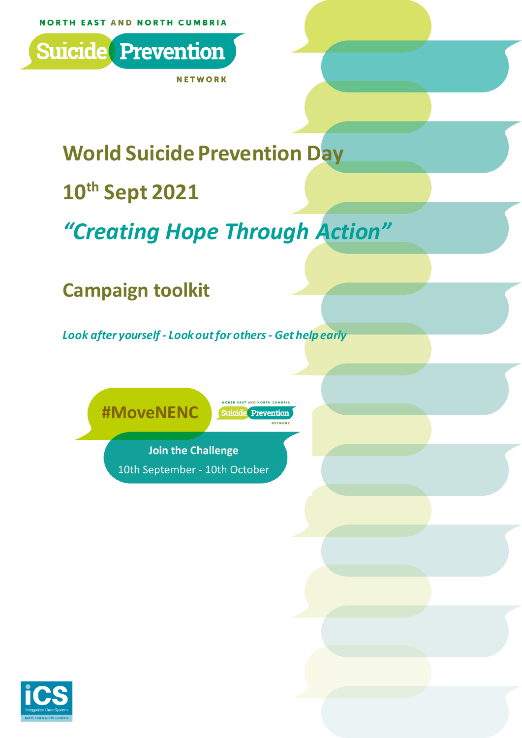

**NETWORK** 

# **World Suicide Prevention Day**

## **10th Sept 2021**

# *"Creating Hope Through Action"*

## **Campaign toolkit**

*Look after yourself - Look out for others- Get help early*

**#MoveNENC** 

Suicide Prevention **NETWO** 

**NORTH EAST AND NORTH CUMBRI** 

**Join the Challenge** 10th September - 10th October

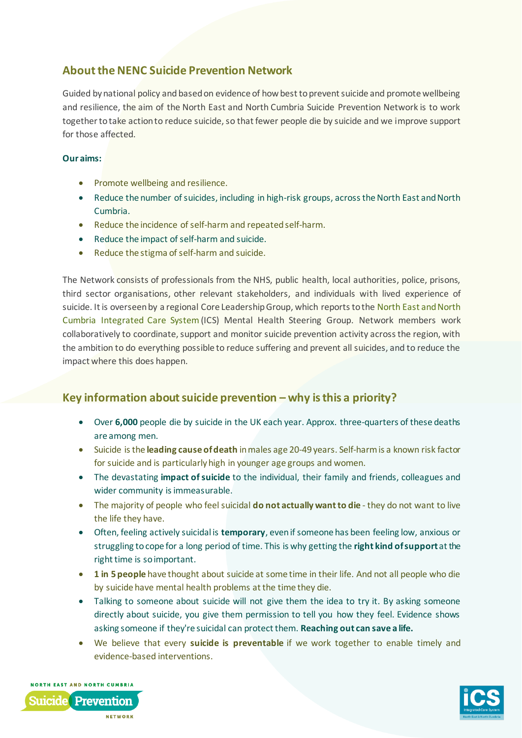## **About the NENC Suicide Prevention Network**

Guided by national policy and based on evidence of how best to prevent suicide and promote wellbeing and resilience, the aim of the North East and North Cumbria Suicide Prevention Network is to work together to take action to reduce suicide, so that fewer people die by suicide and we improve support for those affected.

#### **Our aims:**

- Promote wellbeing and resilience.
- Reduce the number of suicides, including in high-risk groups, across the North East and North Cumbria.
- Reduce the incidence of self-harm and repeated self-harm.
- Reduce the impact of self-harm and suicide.
- Reduce the stigma of self-harm and suicide.

The Network consists of professionals from the NHS, public health, local authorities, police, prisons, third sector organisations, other relevant stakeholders, and individuals with lived experience of suicide. It is overseen by a regional Core Leadership Group, which reports to the North East and North [Cumbria Integrated Care System](https://www.northeastandnorthcumbriaics.nhs.uk/) (ICS) Mental Health Steering Group. Network members work collaboratively to coordinate, support and monitor suicide prevention activity across the region, with the ambition to do everything possible to reduce suffering and prevent all suicides, and to reduce the impact where this does happen.

## **Key information about suicide prevention – why is this a priority?**

- Over **6,000** people die by suicide in the UK each year. Approx. three-quarters of these deaths are among men.
- Suicide is the **leading cause of death** in males age 20-49 years. Self-harm is a known risk factor for suicide and is particularly high in younger age groups and women.
- The devastating **impact of suicide** to the individual, their family and friends, colleagues and wider community is immeasurable.
- The majority of people who feel suicidal **do not actually want to die** they do not want to live the life they have.
- Often, feeling actively suicidal is **temporary**, even if someone has been feeling low, anxious or struggling to cope for a long period of time. This is why getting the **right kind of support** at the right time is so important.
- **1 in 5 people** have thought about suicide at some time in their life. And not all people who die by suicide have mental health problems at the time they die.
- Talking to someone about suicide will not give them the idea to try it. By asking someone directly about suicide, you give them permission to tell you how they feel. Evidence shows asking someone if they're suicidal can protect them. **Reaching out can save a life.**
- We believe that every **suicide is preventable** if we work together to enable timely and evidence-based interventions.



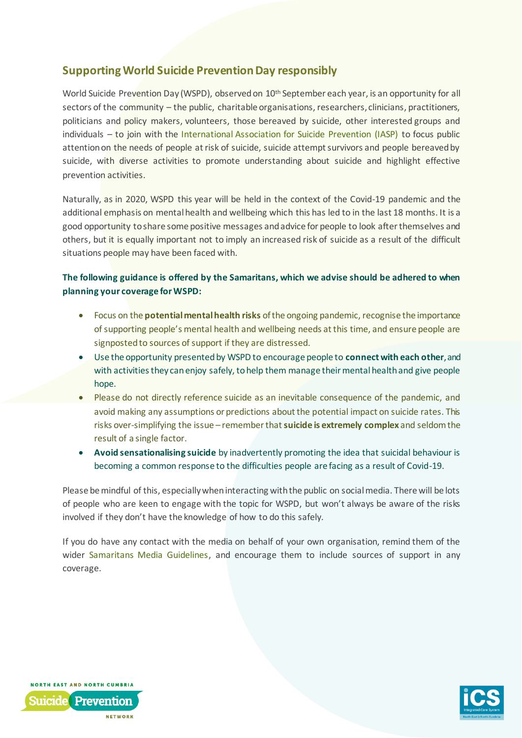## **Supporting World Suicide Prevention Day responsibly**

World Suicide Prevention Day (WSPD), observed on 10<sup>th</sup> September each year, is an opportunity for all sectors of the community – the public, charitable organisations, researchers, clinicians, practitioners, politicians and policy makers, volunteers, those bereaved by suicide, other interested groups and individuals – to join with the [International Association for Suicide Prevention \(IASP\)](https://www.iasp.info/) to focus public attention on the needs of people at risk of suicide, suicide attempt survivors and people bereaved by suicide, with diverse activities to promote understanding about suicide and highlight effective prevention activities.

Naturally, as in 2020, WSPD this year will be held in the context of the Covid-19 pandemic and the additional emphasis on mental health and wellbeing which this has led to in the last 18 months. It is a good opportunity to share some positive messages and advice for people to look after themselves and others, but it is equally important not to imply an increased risk of suicide as a result of the difficult situations people may have been faced with.

#### **The following guidance is offered by the Samaritans, which we advise should be adhered to when planning your coverage for WSPD:**

- Focus on the **potential mental health risks** of the ongoing pandemic, recognise the importance of supporting people's mental health and wellbeing needs at this time, and ensure people are signposted to sources of support if they are distressed.
- Use the opportunity presented by WSPD to encourage people to **connect with each other**, and with activities they can enjoy safely, to help them manage their mental health and give people hope.
- Please do not directly reference suicide as an inevitable consequence of the pandemic, and avoid making any assumptions or predictions about the potential impact on suicide rates. This risks over-simplifying the issue – remember that **suicide is extremely complex** and seldom the result of a single factor.
- **Avoid sensationalising suicide** by inadvertently promoting the idea that suicidal behaviour is becoming a common response to the difficulties people are facing as a result of Covid-19.

Please be mindful of this, especially when interacting with the public on social media. There will be lots of people who are keen to engage with the topic for WSPD, but won't always be aware of the risks involved if they don't have the knowledge of how to do this safely.

If you do have any contact with the media on behalf of your own organisation, remind them of the wider [Samaritans Media Guidelines,](https://www.samaritans.org/about-samaritans/media-guidelines/) and encourage them to include sources of support in any coverage.



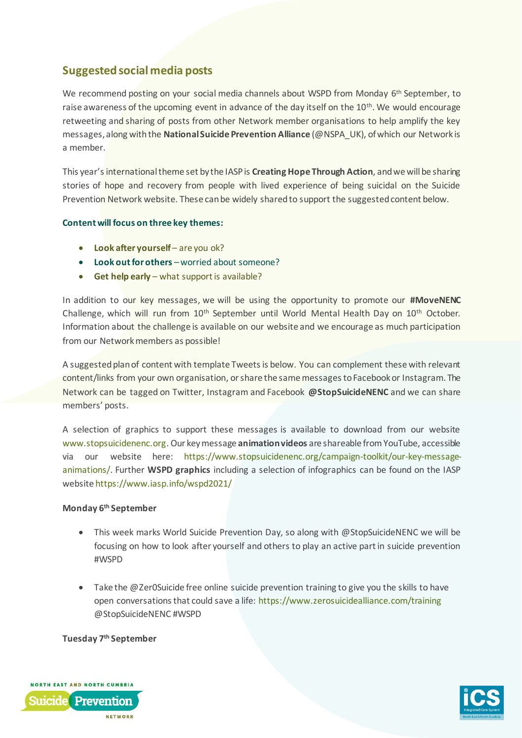## **Suggested social media posts**

We recommend posting on your social media channels about WSPD from Monday 6<sup>th</sup> September, to raise awareness of the upcoming event in advance of the day itself on the 10<sup>th</sup>. We would encourage retweeting and sharing of posts from other Network member organisations to help amplify the key messages, along with the **National Suicide Prevention Alliance** (@NSPA\_UK), of which our Network is a member.

This year's international theme set by the IASP is **Creating Hope Through Action**, and we will be sharing stories of hope and recovery from people with lived experience of being suicidal on the Suicide Prevention Network website. These can be widely shared to support the suggested content below.

#### **Content will focus on three key themes:**

- **Look after yourself** are you ok?
- **Look out for others** worried about someone?
- **Get help early** what support is available?

In addition to our key messages, we will be using the opportunity to promote our **#MoveNENC** Challenge, which will run from 10<sup>th</sup> September until World Mental Health Day on 10<sup>th</sup> October. Information about the challenge is available on our website and we encourage as much participation from our Network members as possible!

A suggested plan of content with template Tweets is below. You can complement these with relevant content/links from your own organisation, orshare the same messages to Facebook or Instagram. The Network can be tagged on Twitter, Instagram and Facebook **@StopSuicideNENC** and we can share members' posts.

A selection of graphics to support these messages is available to download from our website [www.stopsuicidenenc.org](http://www.stopsuicidenenc.org/). Our key message **animation videos** are shareable from YouTube, accessible via our website here: [https://www.stopsuicidenenc.org/campaign-toolkit/our-key-message](https://www.stopsuicidenenc.org/campaign-toolkit/our-key-message-animations/)[animations/.](https://www.stopsuicidenenc.org/campaign-toolkit/our-key-message-animations/) Further **WSPD graphics** including a selection of infographics can be found on the IASP websit[e https://www.iasp.info/wspd2021/](https://www.iasp.info/wspd2021/)

#### **Monday 6 th September**

- This week marks World Suicide Prevention Day, so along with @StopSuicideNENC we will be focusing on how to look after yourself and others to play an active part in suicide prevention #WSPD
- Take the @Zer0Suicide free online suicide prevention training to give you the skills to have open conversations that could save a life:<https://www.zerosuicidealliance.com/training> @StopSuicideNENC #WSPD

#### **Tuesday 7 th September**



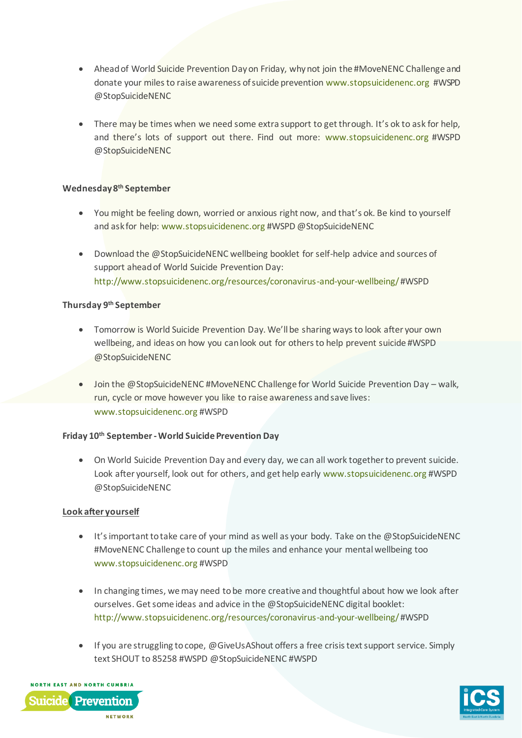- Ahead of World Suicide Prevention Day on Friday, why not join the #MoveNENC Challenge and donate your miles to raise awareness of suicide preventio[n www.stopsuicidenenc.org](http://www.stopsuicidenenc.org/) #WSPD @StopSuicideNENC
- There may be times when we need some extra support to get through. It's ok to ask for help, and there's lots of support out there. Find out more: [www.stopsuicidenenc.org](http://www.stopsuicidenenc.org/) #WSPD @StopSuicideNENC

#### **Wednesday 8 th September**

- You might be feeling down, worried or anxious right now, and that's ok. Be kind to yourself and ask for help[: www.stopsuicidenenc.org](http://www.stopsuicidenenc.org/) #WSPD @StopSuicideNENC
- Download the @StopSuicideNENC wellbeing booklet for self-help advice and sources of support ahead of World Suicide Prevention Day: <http://www.stopsuicidenenc.org/resources/coronavirus-and-your-wellbeing/>#WSPD

#### **Thursday 9 th September**

- Tomorrow is World Suicide Prevention Day. We'll be sharing ways to look after your own wellbeing, and ideas on how you can look out for others to help prevent suicide #WSPD @StopSuicideNENC
- Join the @StopSuicideNENC #MoveNENC Challenge for World Suicide Prevention Day walk, run, cycle or move however you like to raise awareness and save lives: [www.stopsuicidenenc.org](http://www.stopsuicidenenc.org/) #WSPD

#### **Friday 10th September -World Suicide Prevention Day**

• On World Suicide Prevention Day and every day, we can all work together to prevent suicide. Look after yourself, look out for others, and get help early [www.stopsuicidenenc.org](http://www.stopsuicidenenc.org/) #WSPD @StopSuicideNENC

#### **Look after yourself**

- It's important to take care of your mind as well as your body. Take on the @StopSuicideNENC #MoveNENC Challenge to count up the miles and enhance your mental wellbeing too [www.stopsuicidenenc.org](http://www.stopsuicidenenc.org/) #WSPD
- In changing times, we may need to be more creative and thoughtful about how we look after ourselves. Get some ideas and advice in the @StopSuicideNENC digital booklet: <http://www.stopsuicidenenc.org/resources/coronavirus-and-your-wellbeing/>#WSPD
- If you are struggling to cope, @GiveUsAShout offers a free crisis text support service. Simply text SHOUT to 85258 #WSPD @StopSuicideNENC #WSPD



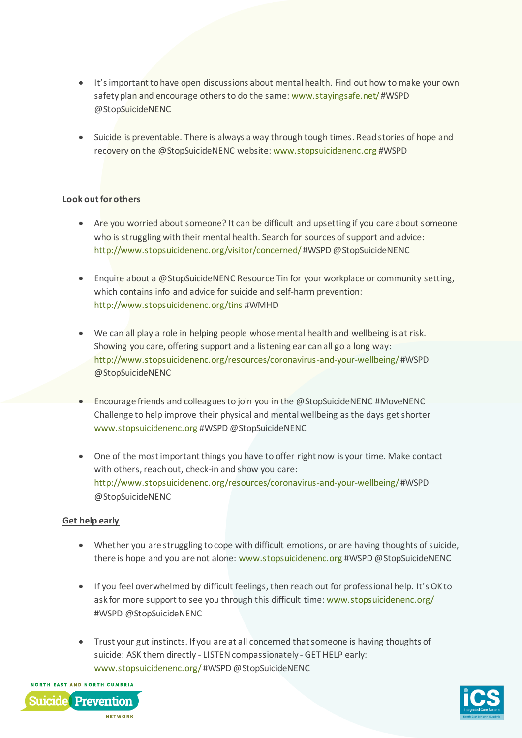- It's important to have open discussions about mental health. Find out how to make your own safety plan and encourage others to do the same[: www.stayingsafe.net/](http://www.stayingsafe.net/) #WSPD @StopSuicideNENC
- Suicide is preventable. There is always a way through tough times. Read stories of hope and recovery on the @StopSuicideNENC website[: www.stopsuicidenenc.org](http://www.stopsuicidenenc.org/) #WSPD

#### **Look out for others**

- Are you worried about someone? It can be difficult and upsetting if you care about someone who is struggling with their mental health. Search for sources of support and advice: <http://www.stopsuicidenenc.org/visitor/concerned/>#WSPD @StopSuicideNENC
- Enquire about a @StopSuicideNENC Resource Tin for your workplace or community setting, which contains info and advice for suicide and self-harm prevention: <http://www.stopsuicidenenc.org/tins> #WMHD
- We can all play a role in helping people whose mental health and wellbeing is at risk. Showing you care, offering support and a listening ear can all go a long way: <http://www.stopsuicidenenc.org/resources/coronavirus-and-your-wellbeing/>#WSPD @StopSuicideNENC
- Encourage friends and colleagues to join you in the @StopSuicideNENC #MoveNENC Challenge to help improve their physical and mental wellbeing as the days get shorter [www.stopsuicidenenc.org](http://www.stopsuicidenenc.org/) #WSPD @StopSuicideNENC
- One of the most important things you have to offer right now is your time. Make contact with others, reach out, check-in and show you care: <http://www.stopsuicidenenc.org/resources/coronavirus-and-your-wellbeing/>#WSPD @StopSuicideNENC

#### **Get help early**

- Whether you are struggling to cope with difficult emotions, or are having thoughts of suicide, there is hope and you are not alone[: www.stopsuicidenenc.org](http://www.stopsuicidenenc.org/) #WSPD @StopSuicideNENC
- If you feel overwhelmed by difficult feelings, then reach out for professional help. It's OK to ask for more support to see you through this difficult time[: www.stopsuicidenenc.org/](http://www.stopsuicidenenc.org/) #WSPD @StopSuicideNENC
- Trust your gut instincts. If you are at all concerned that someone is having thoughts of suicide: ASK them directly - LISTEN compassionately - GET HELP early: [www.stopsuicidenenc.org/](http://www.stopsuicidenenc.org/) #WSPD @StopSuicideNENC



**NETWORK** 

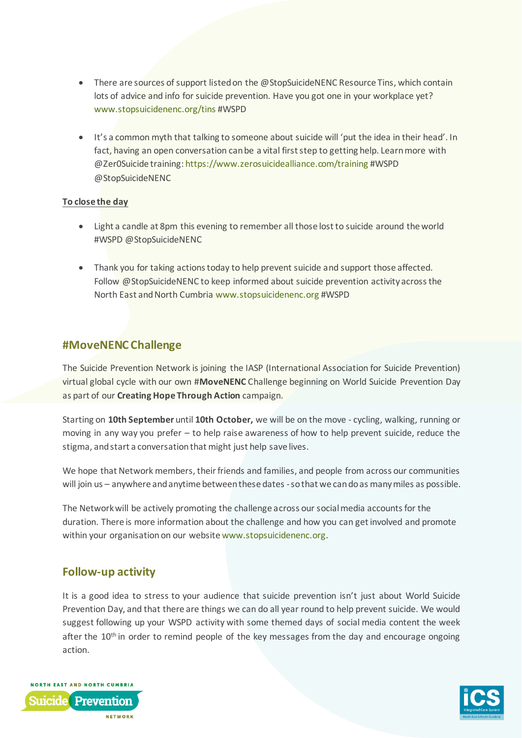- There are sources of support listed on the @StopSuicideNENC Resource Tins, which contain lots of advice and info for suicide prevention. Have you got one in your workplace yet? [www.stopsuicidenenc.org/tins](http://www.stopsuicidenenc.org/tins) #WSPD
- It's a common myth that talking to someone about suicide will 'put the idea in their head'. In fact, having an open conversation can be a vital first step to getting help. Learn more with @Zer0Suicide training[: https://www.zerosuicidealliance.com/training](https://www.zerosuicidealliance.com/training) #WSPD @StopSuicideNENC

#### **To close the day**

- Light a candle at 8pm this evening to remember all those lost to suicide around the world #WSPD @StopSuicideNENC
- Thank you for taking actions today to help prevent suicide and support those affected. Follow @StopSuicideNENC to keep informed about suicide prevention activity across the North East and North Cumbria [www.stopsuicidenenc.org](http://www.stopsuicidenenc.org/) #WSPD

## **#MoveNENC Challenge**

The Suicide Prevention Network is joining the IASP (International Association for Suicide Prevention) virtual global cycle with our own #**MoveNENC** Challenge beginning on World Suicide Prevention Day as part of our **Creating Hope Through Action** campaign.

Starting on **10th September** until **10th October,** we will be on the move - cycling, walking, running or moving in any way you prefer – to help raise awareness of how to help prevent suicide, reduce the stigma, and start a conversation that might just help save lives.

We hope that Network members, their friends and families, and people from across our communities will join us – anywhere and anytime between these dates - so that we can do as many miles as possible.

The Network will be actively promoting the challenge across our social media accounts for the duration. There is more information about the challenge and how you can get involved and promote within your organisation on our websit[e www.stopsuicidenenc.org](http://www.stopsuicidenenc.org/).

## **Follow-up activity**

It is a good idea to stress to your audience that suicide prevention isn't just about World Suicide Prevention Day, and that there are things we can do all year round to help prevent suicide. We would suggest following up your WSPD activity with some themed days of social media content the week after the  $10<sup>th</sup>$  in order to remind people of the key messages from the day and encourage ongoing action.



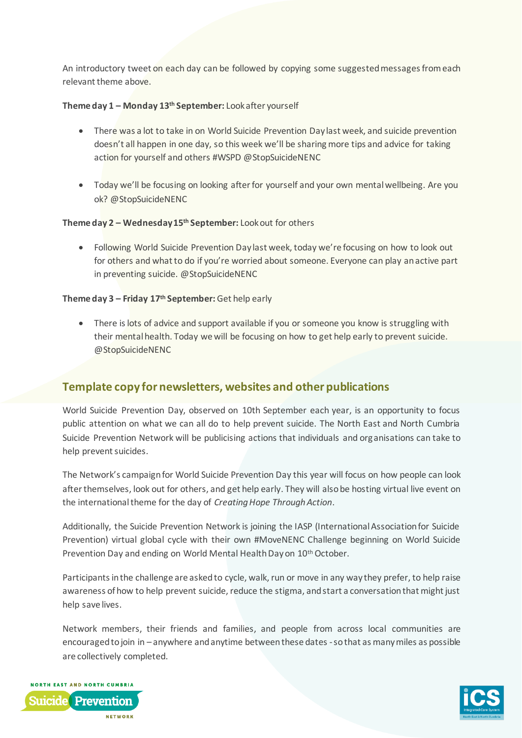An introductory tweet on each day can be followed by copying some suggested messages from each relevant theme above.

#### **Theme day 1 – Monday 13th September:** Look after yourself

- There was a lot to take in on World Suicide Prevention Day last week, and suicide prevention doesn't all happen in one day, so this week we'll be sharing more tips and advice for taking action for yourself and others #WSPD @StopSuicideNENC
- Today we'll be focusing on looking after for yourself and your own mental wellbeing. Are you ok? @StopSuicideNENC

#### **Theme day 2 – Wednesday 15 th September:** Look out for others

• Following World Suicide Prevention Day last week, today we're focusing on how to look out for others and what to do if you're worried about someone. Everyone can play an active part in preventing suicide. @StopSuicideNENC

#### **Theme day 3 – Friday 17 th September:** Get help early

• There is lots of advice and support available if you or someone you know is struggling with their mental health. Today we will be focusing on how to get help early to prevent suicide. @StopSuicideNENC

## **Template copy for newsletters, websites and other publications**

World Suicide Prevention Day, observed on 10th September each year, is an opportunity to focus public attention on what we can all do to help prevent suicide. The North East and North Cumbria Suicide Prevention Network will be publicising actions that individuals and organisations can take to help prevent suicides.

The Network's campaign for World Suicide Prevention Day this year will focus on how people can look after themselves, look out for others, and get help early. They will also be hosting virtual live event on the international theme for the day of *Creating Hope Through Action*.

Additionally, the Suicide Prevention Network is joining the IASP (International Association for Suicide Prevention) virtual global cycle with their own #MoveNENC Challenge beginning on World Suicide Prevention Day and ending on World Mental Health Day on 10<sup>th</sup> October.

Participants in the challenge are asked to cycle, walk, run or move in any way they prefer, to help raise awareness of how to help prevent suicide, reduce the stigma, and start a conversation that might just help save lives.

Network members, their friends and families, and people from across local communities are encouraged to join in – anywhere and anytime between these dates -so that as many miles as possible are collectively completed.